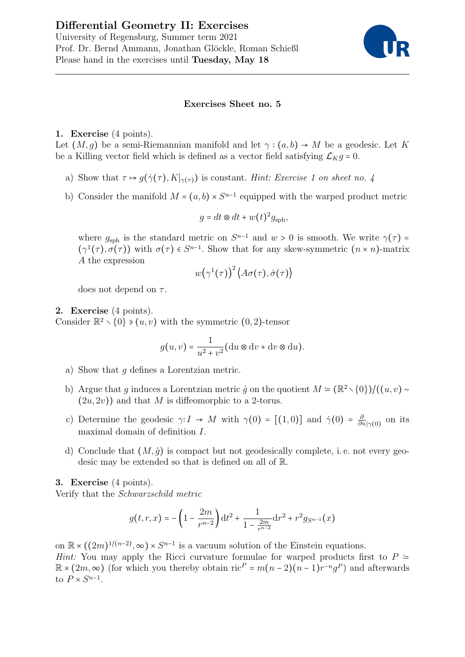

## Exercises Sheet no. 5

## 1. Exercise (4 points).

Let  $(M, q)$  be a semi-Riemannian manifold and let  $\gamma : (a, b) \to M$  be a geodesic. Let K be a Killing vector field which is defined as a vector field satisfying  $\mathcal{L}_K g = 0$ .

- a) Show that  $\tau \mapsto g(\dot{\gamma}(\tau), K|_{\gamma(\tau)})$  is constant. Hint: Exercise 1 on sheet no. 4
- b) Consider the manifold  $M = (a, b) \times S^{n-1}$  equipped with the warped product metric

$$
g = dt \otimes dt + w(t)^2 g_{\rm sph},
$$

where  $g_{\text{sph}}$  is the standard metric on  $S^{n-1}$  and  $w > 0$  is smooth. We write  $\gamma(\tau) =$  $(\gamma^1(\tau), \sigma(\tau))$  with  $\sigma(\tau) \in S^{n-1}$ . Show that for any skew-symmetric  $(n \times n)$ -matrix A the expression

$$
w\bigl(\gamma^1(\tau)\bigr)^2\bigl\langle A\sigma(\tau),\dot{\sigma}(\tau)\bigr\rangle
$$

does not depend on  $\tau$ .

## 2. Exercise (4 points).

Consider  $\mathbb{R}^2 \setminus \{0\} \ni (u, v)$  with the symmetric  $(0, 2)$ -tensor

$$
g(u, v) = \frac{1}{u^2 + v^2} (du \otimes dv + dv \otimes du).
$$

- a) Show that  $q$  defines a Lorentzian metric.
- b) Argue that q induces a Lorentzian metric  $\hat{q}$  on the quotient  $M = (\mathbb{R}^2 \setminus \{0\})/((u, v) \sim$  $(2u, 2v)$  and that M is diffeomorphic to a 2-torus.
- c) Determine the geodesic  $\gamma: I \to M$  with  $\gamma(0) = [(1,0)]$  and  $\dot{\gamma}(0) = \frac{\delta}{\partial t}$  $\frac{\partial}{\partial u}|_{\gamma(0)}$  on its maximal domain of definition I.
- d) Conclude that  $(M, \hat{g})$  is compact but not geodesically complete, i.e. not every geodesic may be extended so that is defined on all of R.

3. Exercise (4 points).

Verify that the Schwarzschild metric

$$
g(t,r,x) = -\left(1 - \frac{2m}{r^{n-2}}\right)dt^2 + \frac{1}{1 - \frac{2m}{r^{n-2}}}dr^2 + r^2 g_{S^{n-1}}(x)
$$

on  $\mathbb{R} \times ((2m)^{1/(n-2)}, \infty) \times S^{n-1}$  is a vacuum solution of the Einstein equations. Hint: You may apply the Ricci curvature formulae for warped products first to  $P =$  $\mathbb{R} \times (2m, \infty)$  (for which you thereby obtain ric<sup>P</sup> =  $m(n-2)(n-1)r^{-n}g^P$ ) and afterwards to  $P \times S^{n-1}$ .